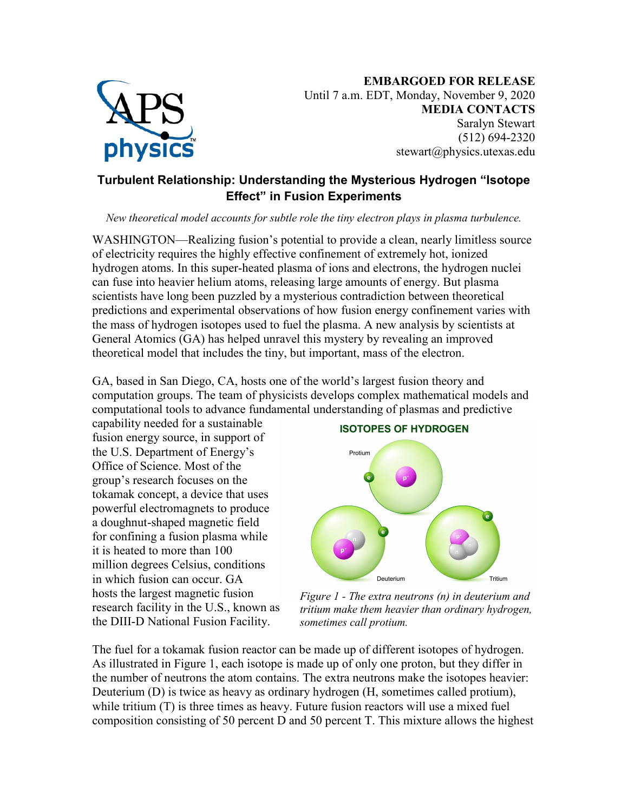

## **Turbulent Relationship: Understanding the Mysterious Hydrogen "Isotope Effect" in Fusion Experiments**

*New theoretical model accounts for subtle role the tiny electron plays in plasma turbulence.*

WASHINGTON—Realizing fusion's potential to provide a clean, nearly limitless source of electricity requires the highly effective confinement of extremely hot, ionized hydrogen atoms. In this super-heated plasma of ions and electrons, the hydrogen nuclei can fuse into heavier helium atoms, releasing large amounts of energy. But plasma scientists have long been puzzled by a mysterious contradiction between theoretical predictions and experimental observations of how fusion energy confinement varies with the mass of hydrogen isotopes used to fuel the plasma. A new analysis by scientists at General Atomics (GA) has helped unravel this mystery by revealing an improved theoretical model that includes the tiny, but important, mass of the electron.

GA, based in San Diego, CA, hosts one of the world's largest fusion theory and computation groups. The team of physicists develops complex mathematical models and computational tools to advance fundamental understanding of plasmas and predictive

capability needed for a sustainable fusion energy source, in support of the U.S. Department of Energy's Office of Science. Most of the group's research focuses on the tokamak concept, a device that uses powerful electromagnets to produce a doughnut-shaped magnetic field for confining a fusion plasma while it is heated to more than 100 million degrees Celsius, conditions in which fusion can occur. GA hosts the largest magnetic fusion research facility in the U.S., known as the DIII-D National Fusion Facility.



*Figure 1 - The extra neutrons (n) in deuterium and tritium make them heavier than ordinary hydrogen, sometimes call protium.*

The fuel for a tokamak fusion reactor can be made up of different isotopes of hydrogen. As illustrated in Figure 1, each isotope is made up of only one proton, but they differ in the number of neutrons the atom contains. The extra neutrons make the isotopes heavier: Deuterium (D) is twice as heavy as ordinary hydrogen (H, sometimes called protium), while tritium (T) is three times as heavy. Future fusion reactors will use a mixed fuel composition consisting of 50 percent D and 50 percent T. This mixture allows the highest